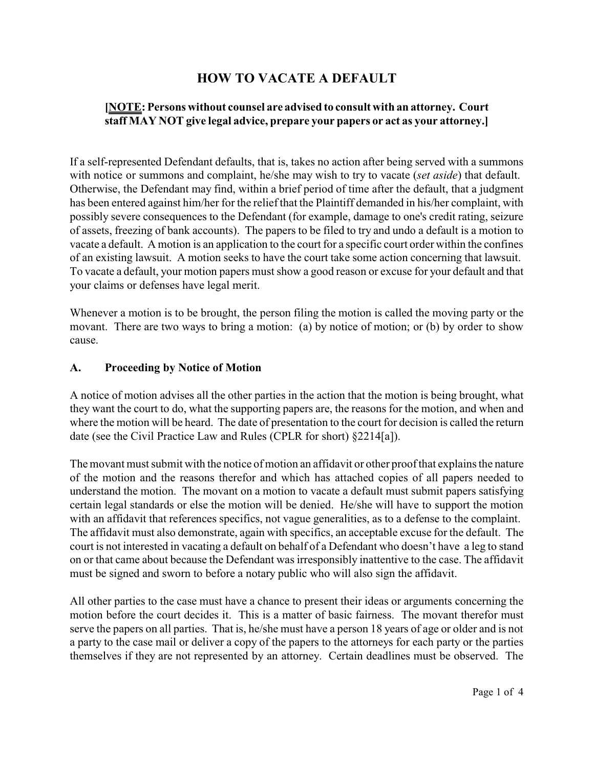# **HOW TO VACATE A DEFAULT**

## **[NOTE: Persons without counsel are advised to consult with an attorney. Court staff MAY NOT give legal advice, prepare your papers or act as your attorney.]**

If a self-represented Defendant defaults, that is, takes no action after being served with a summons with notice or summons and complaint, he/she may wish to try to vacate (*set aside*) that default. Otherwise, the Defendant may find, within a brief period of time after the default, that a judgment has been entered against him/her for the relief that the Plaintiff demanded in his/her complaint, with possibly severe consequences to the Defendant (for example, damage to one's credit rating, seizure of assets, freezing of bank accounts). The papers to be filed to try and undo a default is a motion to vacate a default. A motion is an application to the court for a specific court order within the confines of an existing lawsuit. A motion seeks to have the court take some action concerning that lawsuit. To vacate a default, your motion papers must show a good reason or excuse for your default and that your claims or defenses have legal merit.

Whenever a motion is to be brought, the person filing the motion is called the moving party or the movant. There are two ways to bring a motion: (a) by notice of motion; or (b) by order to show cause.

#### **A. Proceeding by Notice of Motion**

A notice of motion advises all the other parties in the action that the motion is being brought, what they want the court to do, what the supporting papers are, the reasons for the motion, and when and where the motion will be heard. The date of presentation to the court for decision is called the return date (see the Civil Practice Law and Rules (CPLR for short) §2214[a]).

The movant must submit with the notice of motion an affidavit or other proof that explains the nature of the motion and the reasons therefor and which has attached copies of all papers needed to understand the motion. The movant on a motion to vacate a default must submit papers satisfying certain legal standards or else the motion will be denied. He/she will have to support the motion with an affidavit that references specifics, not vague generalities, as to a defense to the complaint. The affidavit must also demonstrate, again with specifics, an acceptable excuse for the default. The court is not interested in vacating a default on behalf of a Defendant who doesn't have a leg to stand on or that came about because the Defendant was irresponsibly inattentive to the case. The affidavit must be signed and sworn to before a notary public who will also sign the affidavit.

All other parties to the case must have a chance to present their ideas or arguments concerning the motion before the court decides it. This is a matter of basic fairness. The movant therefor must serve the papers on all parties. That is, he/she must have a person 18 years of age or older and is not a party to the case mail or deliver a copy of the papers to the attorneys for each party or the parties themselves if they are not represented by an attorney. Certain deadlines must be observed. The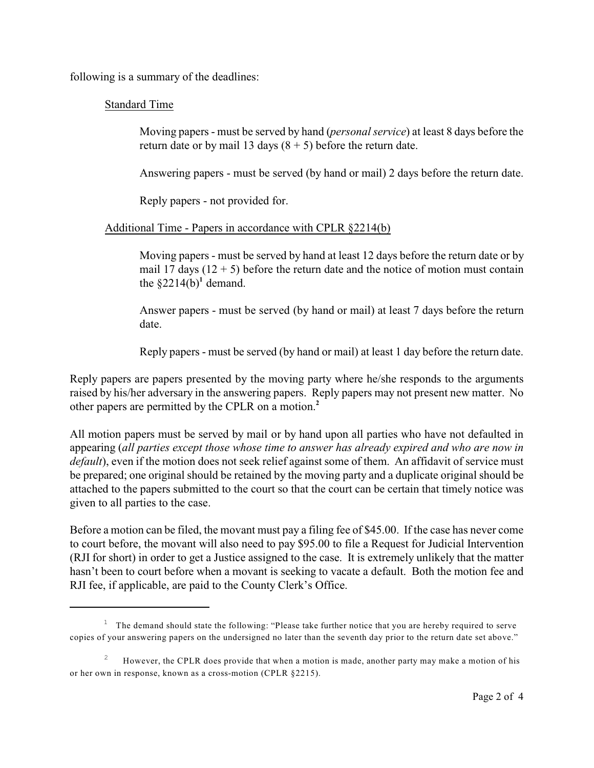following is a summary of the deadlines:

### Standard Time

Moving papers - must be served by hand (*personal service*) at least 8 days before the return date or by mail 13 days  $(8 + 5)$  before the return date.

Answering papers - must be served (by hand or mail) 2 days before the return date.

Reply papers - not provided for.

#### Additional Time - Papers in accordance with CPLR §2214(b)

Moving papers - must be served by hand at least 12 days before the return date or by mail 17 days  $(12 + 5)$  before the return date and the notice of motion must contain the  $\S2214(b)^1$  demand.

Answer papers - must be served (by hand or mail) at least 7 days before the return date.

Reply papers - must be served (by hand or mail) at least 1 day before the return date.

Reply papers are papers presented by the moving party where he/she responds to the arguments raised by his/her adversary in the answering papers. Reply papers may not present new matter. No other papers are permitted by the CPLR on a motion.**<sup>2</sup>**

All motion papers must be served by mail or by hand upon all parties who have not defaulted in appearing (*all parties except those whose time to answer has already expired and who are now in default*), even if the motion does not seek relief against some of them. An affidavit of service must be prepared; one original should be retained by the moving party and a duplicate original should be attached to the papers submitted to the court so that the court can be certain that timely notice was given to all parties to the case.

Before a motion can be filed, the movant must pay a filing fee of \$45.00. If the case has never come to court before, the movant will also need to pay \$95.00 to file a Request for Judicial Intervention (RJI for short) in order to get a Justice assigned to the case. It is extremely unlikely that the matter hasn't been to court before when a movant is seeking to vacate a default. Both the motion fee and RJI fee, if applicable, are paid to the County Clerk's Office.

 $1$  The demand should state the following: "Please take further notice that you are hereby required to serve copies of your answering papers on the undersigned no later than the seventh day prior to the return date set above."

However, the CPLR does provide that when a motion is made, another party may make a motion of his 2 or her own in response, known as a cross-motion (CPLR §2215).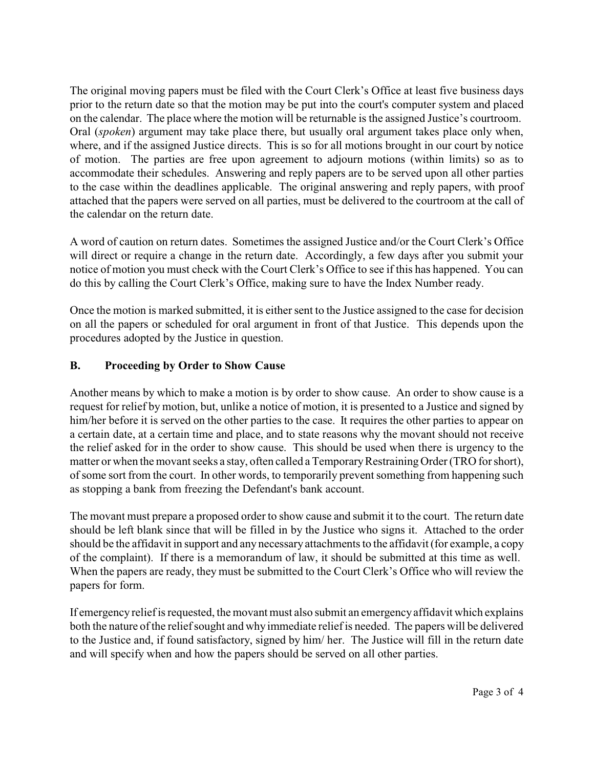The original moving papers must be filed with the Court Clerk's Office at least five business days prior to the return date so that the motion may be put into the court's computer system and placed on the calendar. The place where the motion will be returnable is the assigned Justice's courtroom. Oral (*spoken*) argument may take place there, but usually oral argument takes place only when, where, and if the assigned Justice directs. This is so for all motions brought in our court by notice of motion. The parties are free upon agreement to adjourn motions (within limits) so as to accommodate their schedules. Answering and reply papers are to be served upon all other parties to the case within the deadlines applicable. The original answering and reply papers, with proof attached that the papers were served on all parties, must be delivered to the courtroom at the call of the calendar on the return date.

A word of caution on return dates. Sometimes the assigned Justice and/or the Court Clerk's Office will direct or require a change in the return date. Accordingly, a few days after you submit your notice of motion you must check with the Court Clerk's Office to see if this has happened. You can do this by calling the Court Clerk's Office, making sure to have the Index Number ready.

Once the motion is marked submitted, it is either sent to the Justice assigned to the case for decision on all the papers or scheduled for oral argument in front of that Justice. This depends upon the procedures adopted by the Justice in question.

## **B. Proceeding by Order to Show Cause**

Another means by which to make a motion is by order to show cause. An order to show cause is a request for relief by motion, but, unlike a notice of motion, it is presented to a Justice and signed by him/her before it is served on the other parties to the case. It requires the other parties to appear on a certain date, at a certain time and place, and to state reasons why the movant should not receive the relief asked for in the order to show cause. This should be used when there is urgency to the matter or when the movant seeks a stay, often called a Temporary Restraining Order (TRO for short), of some sort from the court. In other words, to temporarily prevent something from happening such as stopping a bank from freezing the Defendant's bank account.

The movant must prepare a proposed order to show cause and submit it to the court. The return date should be left blank since that will be filled in by the Justice who signs it. Attached to the order should be the affidavit in support and any necessary attachments to the affidavit (for example, a copy of the complaint). If there is a memorandum of law, it should be submitted at this time as well. When the papers are ready, they must be submitted to the Court Clerk's Office who will review the papers for form.

If emergency reliefis requested, the movant must also submit an emergencyaffidavit which explains both the nature of the relief sought and why immediate relief is needed. The papers will be delivered to the Justice and, if found satisfactory, signed by him/ her. The Justice will fill in the return date and will specify when and how the papers should be served on all other parties.